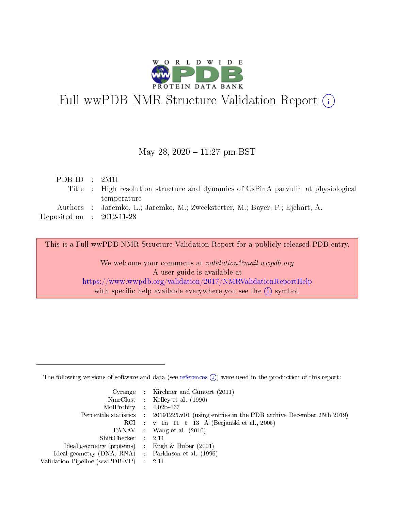

# Full wwPDB NMR Structure Validation Report (i)

# May 28,  $2020 - 11:27$  pm BST

| PDBID : 2M1I                |                                                                                    |
|-----------------------------|------------------------------------------------------------------------------------|
|                             | Title : High resolution structure and dynamics of CsPinA parvulin at physiological |
|                             | temperature                                                                        |
|                             | Authors : Jaremko, L.; Jaremko, M.; Zweckstetter, M.; Bayer, P.; Ejchart, A.       |
| Deposited on : $2012-11-28$ |                                                                                    |

This is a Full wwPDB NMR Structure Validation Report for a publicly released PDB entry.

We welcome your comments at validation@mail.wwpdb.org A user guide is available at <https://www.wwpdb.org/validation/2017/NMRValidationReportHelp> with specific help available everywhere you see the  $(i)$  symbol.

The following versions of software and data (see [references](https://www.wwpdb.org/validation/2017/NMRValidationReportHelp#references)  $(1)$ ) were used in the production of this report:

|                                                     | Cyrange : Kirchner and Güntert (2011)                                                      |
|-----------------------------------------------------|--------------------------------------------------------------------------------------------|
|                                                     | NmrClust : Kelley et al. (1996)                                                            |
| $MolProbability$ 4.02b-467                          |                                                                                            |
|                                                     | Percentile statistics : 20191225.v01 (using entries in the PDB archive December 25th 2019) |
|                                                     | RCI : v 1n 11 5 13 A (Berjanski et al., 2005)                                              |
|                                                     | PANAV : Wang et al. (2010)                                                                 |
| $ShiftChecker$ : 2.11                               |                                                                                            |
| Ideal geometry (proteins) : Engh $\&$ Huber (2001)  |                                                                                            |
| Ideal geometry (DNA, RNA) : Parkinson et al. (1996) |                                                                                            |
| Validation Pipeline (wwPDB-VP)                      | - 2.11                                                                                     |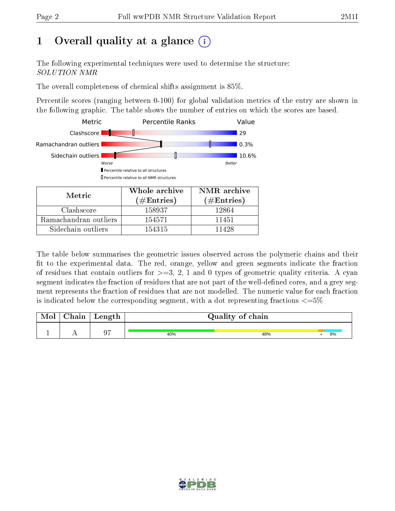# 1 [O](https://www.wwpdb.org/validation/2017/NMRValidationReportHelp#overall_quality)verall quality at a glance  $(i)$

The following experimental techniques were used to determine the structure: SOLUTION NMR

The overall completeness of chemical shifts assignment is 85%.

Percentile scores (ranging between 0-100) for global validation metrics of the entry are shown in the following graphic. The table shows the number of entries on which the scores are based.



| Nietric.              | (# $\rm{Entries}$ ) | $(\#Entries)$ |
|-----------------------|---------------------|---------------|
| Clashscore            | 158937              | 12864         |
| Ramachandran outliers | 154571              | 11451         |
| Sidechain outliers    | 154315              | 11498         |

The table below summarises the geometric issues observed across the polymeric chains and their fit to the experimental data. The red, orange, yellow and green segments indicate the fraction of residues that contain outliers for  $>=3, 2, 1$  and 0 types of geometric quality criteria. A cyan segment indicates the fraction of residues that are not part of the well-defined cores, and a grey segment represents the fraction of residues that are not modelled. The numeric value for each fraction is indicated below the corresponding segment, with a dot representing fractions  $\epsilon = 5\%$ 

| Mol | ${\bf Chain}$ | Length |     | Quality of chain |    |
|-----|---------------|--------|-----|------------------|----|
|     |               | 07     | 40% | 48%              | 8% |

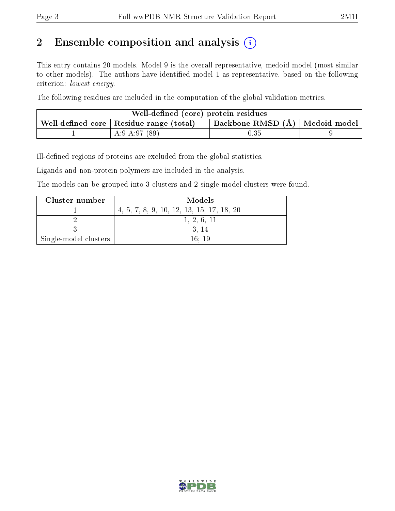# 2 Ensemble composition and analysis  $(i)$

This entry contains 20 models. Model 9 is the overall representative, medoid model (most similar to other models). The authors have identified model 1 as representative, based on the following criterion: lowest energy.

The following residues are included in the computation of the global validation metrics.

| Well-defined (core) protein residues                    |                                    |  |
|---------------------------------------------------------|------------------------------------|--|
| . Well-defined core $\mid$ Residue range (total) $\mid$ | Backbone RMSD $(A)$   Medoid model |  |
| A:9-A:97 $(89)$                                         | $\rm 0.35$                         |  |

Ill-defined regions of proteins are excluded from the global statistics.

Ligands and non-protein polymers are included in the analysis.

The models can be grouped into 3 clusters and 2 single-model clusters were found.

| Cluster number        | Models                                    |
|-----------------------|-------------------------------------------|
|                       | 4, 5, 7, 8, 9, 10, 12, 13, 15, 17, 18, 20 |
|                       | 1, 2, 6, 11                               |
|                       | -3. 14                                    |
| Single-model clusters | 16:19                                     |

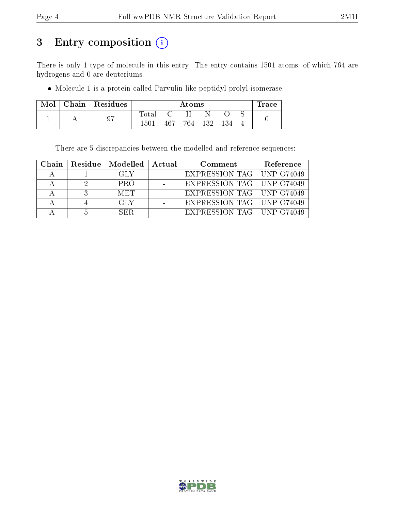# 3 Entry composition (i)

There is only 1 type of molecule in this entry. The entry contains 1501 atoms, of which 764 are hydrogens and 0 are deuteriums.

Molecule 1 is a protein called Parvulin-like peptidyl-prolyl isomerase.

| Mol | Chain   Residues |       |      | Atoms |     |     | Trace |
|-----|------------------|-------|------|-------|-----|-----|-------|
|     |                  | Total |      |       |     |     |       |
|     | 97               | 1501  | 467. | 764   | 132 | 134 |       |

There are 5 discrepancies between the modelled and reference sequences:

| Chain | $\mid$ Residue $\mid$ Modelled $\mid$ Actual | Comment                           | Reference |
|-------|----------------------------------------------|-----------------------------------|-----------|
|       | GLY                                          | EXPRESSION TAG   UNP 074049       |           |
|       | <b>PRO</b>                                   | EXPRESSION TAG   UNP 074049       |           |
|       | <b>MET</b>                                   | EXPRESSION TAG   UNP 074049       |           |
|       | <b>GLY</b>                                   | EXPRESSION TAG $\vert$ UNP 074049 |           |
|       | SER.                                         | EXPRESSION TAG   UNP 074049       |           |

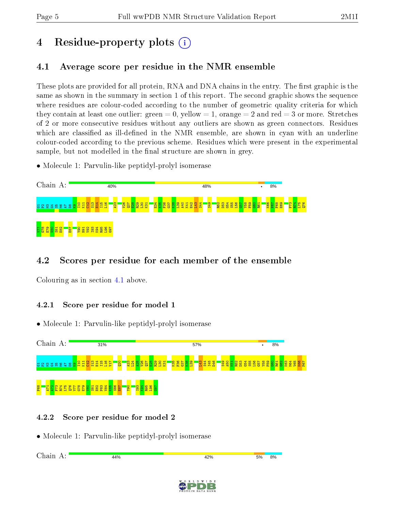# 4 Residue-property plots  $\binom{1}{1}$

# <span id="page-4-0"></span>4.1 Average score per residue in the NMR ensemble

These plots are provided for all protein, RNA and DNA chains in the entry. The first graphic is the same as shown in the summary in section 1 of this report. The second graphic shows the sequence where residues are colour-coded according to the number of geometric quality criteria for which they contain at least one outlier: green  $= 0$ , yellow  $= 1$ , orange  $= 2$  and red  $= 3$  or more. Stretches of 2 or more consecutive residues without any outliers are shown as green connectors. Residues which are classified as ill-defined in the NMR ensemble, are shown in cyan with an underline colour-coded according to the previous scheme. Residues which were present in the experimental sample, but not modelled in the final structure are shown in grey.

• Molecule 1: Parvulin-like peptidyl-prolyl isomerase



# 4.2 Scores per residue for each member of the ensemble

Colouring as in section [4.1](#page-4-0) above.

# 4.2.1 Score per residue for model 1

• Molecule 1: Parvulin-like peptidyl-prolyl isomerase



# 4.2.2 Score per residue for model 2

| Chain<br>$\lambda$ | 44% | 42% | 5% | 8% |
|--------------------|-----|-----|----|----|
|                    |     |     |    |    |

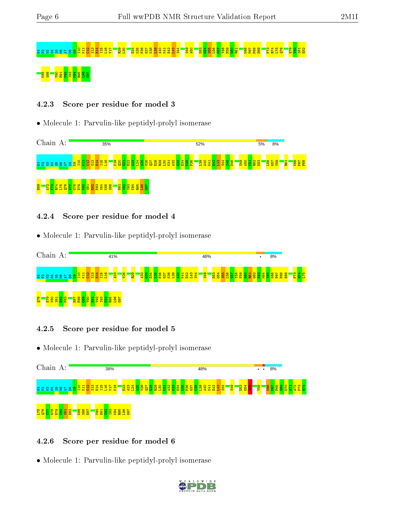# <mark>=</mark> សម្តង សម្ត 88 S8888888

#### 4.2.3 Score per residue for model 3

• Molecule 1: Parvulin-like peptidyl-prolyl isomerase



#### 4.2.4 Score per residue for model 4

• Molecule 1: Parvulin-like peptidyl-prolyl isomerase



# 4.2.5 Score per residue for model 5

• Molecule 1: Parvulin-like peptidyl-prolyl isomerase



#### 4.2.6 Score per residue for model 6

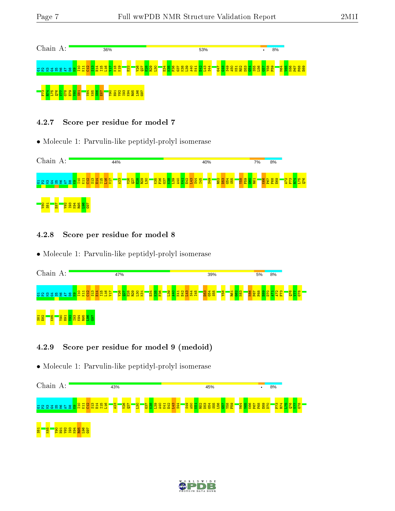

# 4.2.7 Score per residue for model 7

• Molecule 1: Parvulin-like peptidyl-prolyl isomerase



# 4.2.8 Score per residue for model 8

• Molecule 1: Parvulin-like peptidyl-prolyl isomerase

| Chain           |          | A:         |                |                    |      |                       |   |           |  | 47% |                             |  |                         |  |                   |           |     |     |    |                |   |                 | 39%             |                 |            |     |     | 5%          |  | 8% |        |                |     |  |
|-----------------|----------|------------|----------------|--------------------|------|-----------------------|---|-----------|--|-----|-----------------------------|--|-------------------------|--|-------------------|-----------|-----|-----|----|----------------|---|-----------------|-----------------|-----------------|------------|-----|-----|-------------|--|----|--------|----------------|-----|--|
|                 |          |            |                | વ<br>lg            | ്≍ ⊜ | 兽<br><mark>lää</mark> | н | <b>ER</b> |  |     | $\frac{8}{2}$ $\frac{8}{2}$ |  | និង<br><mark>និង</mark> |  | <b>235</b><br>252 | <b>BS</b> | K41 | E42 | Ξ, | $\mathbb{R}^2$ | 됍 | D <sub>53</sub> | <mark>88</mark> | 8g <sub>X</sub> | R61<br>G62 | K63 | K66 | <b>i</b> ci |  | ×  | m<br>Е | $rac{12}{250}$ | 678 |  |
| $\frac{38}{28}$ | <b>R</b> | <b>OGX</b> | $\frac{58}{9}$ | $\frac{1388}{282}$ |      |                       |   |           |  |     |                             |  |                         |  |                   |           |     |     |    |                |   |                 |                 |                 |            |     |     |             |  |    |        |                |     |  |

# 4.2.9 Score per residue for model 9 (medoid)



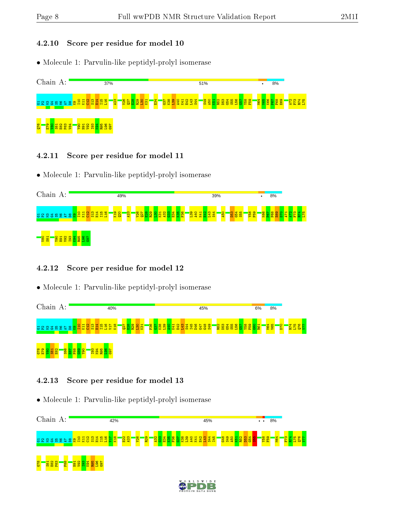#### 4.2.10 Score per residue for model 10

• Molecule 1: Parvulin-like peptidyl-prolyl isomerase



#### 4.2.11 Score per residue for model 11

• Molecule 1: Parvulin-like peptidyl-prolyl isomerase

| Chain A:                                                                    | 49%                                                                                              | 39%                                                                | 8%                                                             |
|-----------------------------------------------------------------------------|--------------------------------------------------------------------------------------------------|--------------------------------------------------------------------|----------------------------------------------------------------|
| a & @ 3 % @ s & @ <mark>@ 음료 영영 품 품 품</mark>                                | <b>POS</b><br>$\frac{2}{3}$<br>$\frac{1}{26}$<br>38<br>$\overline{8}$<br>g<br>2<br><b>B</b><br>œ | <mark> 물票</mark><br><b>A50</b><br>888<br>88<br><b>'옮</b><br>ु<br>부 | F <sub>59</sub><br><b>e</b><br>$\frac{8}{2}$<br><b>SS</b><br>8 |
| l <mark>ig</mark><br>$\frac{8}{5}$<br>8235<br>s<br>н<br>$\blacksquare$<br>- |                                                                                                  |                                                                    |                                                                |

# 4.2.12 Score per residue for model 12

• Molecule 1: Parvulin-like peptidyl-prolyl isomerase



# 4.2.13 Score per residue for model 13

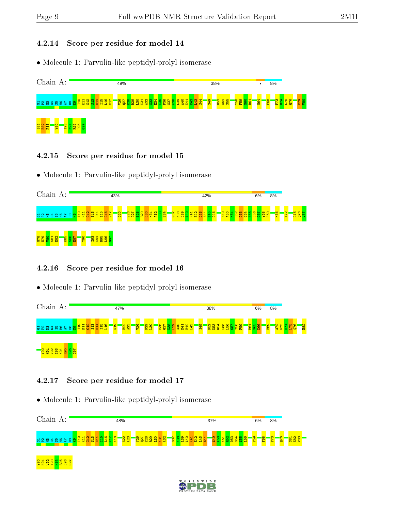#### 4.2.14 Score per residue for model 14

• Molecule 1: Parvulin-like peptidyl-prolyl isomerase



#### 4.2.15 Score per residue for model 15

• Molecule 1: Parvulin-like peptidyl-prolyl isomerase

| Chain A:                                                                  | 43%                                                                                                         | 42%                                                                                                                                                                                                                                                                                                                                                                                                  | 6%                        | 8%                                                                   |
|---------------------------------------------------------------------------|-------------------------------------------------------------------------------------------------------------|------------------------------------------------------------------------------------------------------------------------------------------------------------------------------------------------------------------------------------------------------------------------------------------------------------------------------------------------------------------------------------------------------|---------------------------|----------------------------------------------------------------------|
|                                                                           | is <mark>a</mark><br><mark>ន្ទ្រី និ</mark> ង្ហ<br>$\overline{\mathbf{B}}$<br><mark>ន្ត្រី</mark> ទី<br>K31 | <u>ន្ទី ទី</u><br>$\frac{1}{3}$ $\frac{1}{3}$ $\frac{1}{3}$ $\frac{1}{3}$ $\frac{1}{3}$ $\frac{1}{3}$ $\frac{1}{3}$ $\frac{1}{3}$ $\frac{1}{3}$ $\frac{1}{3}$ $\frac{1}{3}$ $\frac{1}{3}$ $\frac{1}{3}$ $\frac{1}{3}$ $\frac{1}{3}$ $\frac{1}{3}$ $\frac{1}{3}$ $\frac{1}{3}$ $\frac{1}{3}$ $\frac{1}{3}$ $\frac{1}{3}$ $\frac{1}{3}$<br>18.<br>R <sub>52</sub><br>$\overline{180}$<br>K41<br>웝<br>岂 | <mark>ន្ទ្រី ខ្លួន</mark> | <b>ROS</b><br>L <sub>75</sub><br>$\frac{1}{2}$<br>$\frac{1}{2}$<br>G |
| <b>185</b><br>985<br>1952<br>82<br>625<br>82<br>ន្ត្ <mark>រី ខ្លួ</mark> | OGX<br><b>FOR</b><br>Rex<br>Rex<br><u>ឌខ</u>                                                                |                                                                                                                                                                                                                                                                                                                                                                                                      |                           |                                                                      |

# 4.2.16 Score per residue for model 16

• Molecule 1: Parvulin-like peptidyl-prolyl isomerase



#### 4.2.17 Score per residue for model 17



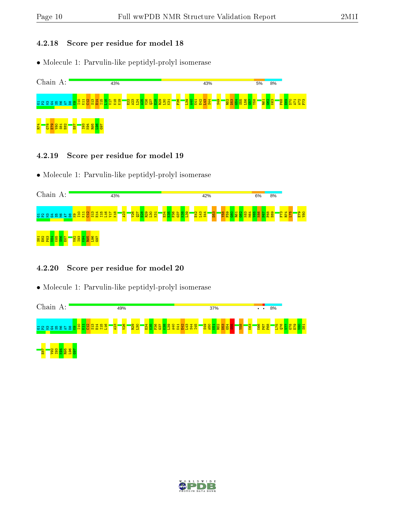# 4.2.18 Score per residue for model 18

• Molecule 1: Parvulin-like peptidyl-prolyl isomerase



#### 4.2.19 Score per residue for model 19

• Molecule 1: Parvulin-like peptidyl-prolyl isomerase

| Chain A:                                                | 43%                                                                                                                              | 42%                                                                                                                                            | 8%<br>6%                                                                                                   |
|---------------------------------------------------------|----------------------------------------------------------------------------------------------------------------------------------|------------------------------------------------------------------------------------------------------------------------------------------------|------------------------------------------------------------------------------------------------------------|
| 급 요 열 겸 떪 을 닼                                           | i <mark>eg</mark><br><mark>1988</mark><br><mark>ន្ត្រី ន្ត្រី ន្ទី ន្ទី</mark><br>V <sub>17</sub><br><b>EE</b><br>$\overline{H}$ | <mark>ង្គ្រី </mark> ខ្ល<br><mark>និន្ទី (</mark><br>粤<br><u>/ଅ</u><br><b>P42</b><br><b>SSX</b><br>F <sub>59</sub><br><b>B</b><br>ಜೆ<br>æ<br>ت | <b>ELL</b><br><b>R74</b><br><mark>없었</mark><br>$\overline{175}$<br><mark>188</mark><br>Đ<br><b>SX</b><br>÷ |
| ۱œ<br>$\frac{1}{88}$<br><b>E87</b><br><u>\ສ ສ</u><br>õ. | <mark>ទ្ធិនីនីនីទីទី</mark>                                                                                                      |                                                                                                                                                |                                                                                                            |

# 4.2.20 Score per residue for model 20

| Chain A:                                                | 49%                                               |                                                                                                                 | 37%                                                | 8%<br>$\ddot{\phantom{0}}$                                                                                |
|---------------------------------------------------------|---------------------------------------------------|-----------------------------------------------------------------------------------------------------------------|----------------------------------------------------|-----------------------------------------------------------------------------------------------------------|
| <u>' Pr</u><br>불물<br><b>보통품품</b><br>급 요 옆 좀 떪 £ 늨<br>ႜႜ | <b>PZ</b><br>$\frac{8}{2}$ ទី<br><b><u>as</u></b> | $\frac{4}{3}$<br><mark>344</mark><br>244<br>$\frac{188}{25}$<br>9<br><u>ទ្</u><br>ᆔ<br>留容<br>. Th<br><b>and</b> | <mark>용행 변명</mark><br><b>8S</b><br>$\frac{83}{55}$ | k63<br>893<br><mark>288</mark><br>298<br>$\infty$<br>$\frac{37}{48}$<br><u>o – </u><br><b>Sist</b><br>5 G |
| R95<br>$\sim$<br>$\overline{\phantom{0}}$<br>Ч×.        |                                                   |                                                                                                                 |                                                    |                                                                                                           |

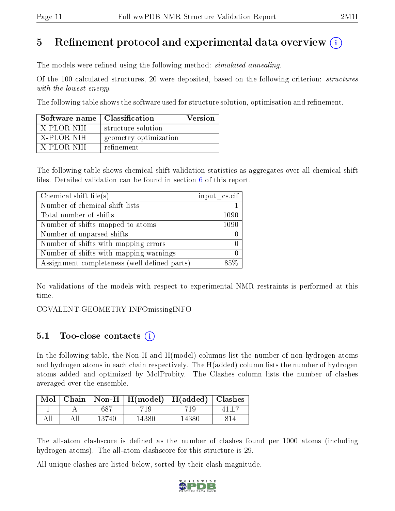# 5 Refinement protocol and experimental data overview  $\binom{1}{k}$

The models were refined using the following method: *simulated annealing*.

Of the 100 calculated structures, 20 were deposited, based on the following criterion: structures with the lowest energy.

The following table shows the software used for structure solution, optimisation and refinement.

| Software name   Classification |                       | Version |
|--------------------------------|-----------------------|---------|
| X-PLOR NIH                     | structure solution    |         |
| X-PLOR NIH                     | geometry optimization |         |
| X-PLOR NIH                     | refinement            |         |

The following table shows chemical shift validation statistics as aggregates over all chemical shift files. Detailed validation can be found in section  $6$  of this report.

| Chemical shift file(s)                       | $input_c$ cs.cif |
|----------------------------------------------|------------------|
| Number of chemical shift lists               |                  |
| Total number of shifts                       | 1090             |
| Number of shifts mapped to atoms             | 1090             |
| Number of unparsed shifts                    |                  |
| Number of shifts with mapping errors         |                  |
| Number of shifts with mapping warnings       |                  |
| Assignment completeness (well-defined parts) |                  |

No validations of the models with respect to experimental NMR restraints is performed at this time.

COVALENT-GEOMETRY INFOmissingINFO

# 5.1 Too-close contacts  $(i)$

In the following table, the Non-H and H(model) columns list the number of non-hydrogen atoms and hydrogen atoms in each chain respectively. The H(added) column lists the number of hydrogen atoms added and optimized by MolProbity. The Clashes column lists the number of clashes averaged over the ensemble.

|  |       | Mol   Chain   Non-H   H(model)   H(added)   Clashes |       |  |
|--|-------|-----------------------------------------------------|-------|--|
|  | 687   |                                                     | 71 Q  |  |
|  | 13740 | 14380-                                              | 14380 |  |

The all-atom clashscore is defined as the number of clashes found per 1000 atoms (including hydrogen atoms). The all-atom clashscore for this structure is 29.

All unique clashes are listed below, sorted by their clash magnitude.

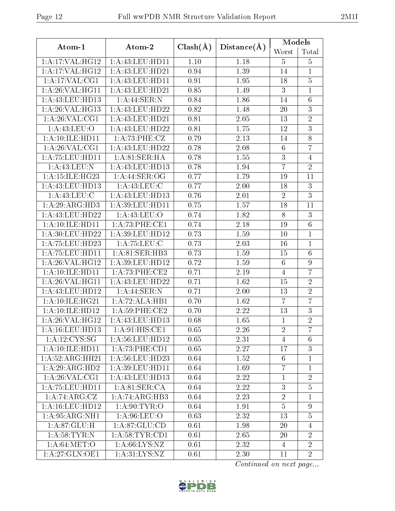| Atom-1              | Atom-2              | $Clash(\AA)$ | Distance(A) | Models          |                  |
|---------------------|---------------------|--------------|-------------|-----------------|------------------|
|                     |                     |              |             | Worst           | Total            |
| 1:A:17:VAL:HG12     | 1: A: 43: LEU: HD11 | 1.10         | 1.18        | $\overline{5}$  | $\overline{5}$   |
| 1: A:17: VAL:HG12   | 1:A:43:LEU:HD21     | 0.94         | 1.39        | 14              | $\mathbf{1}$     |
| 1:A:17:VAL:CG1      | 1:A:43:LEU:HDI1     | 0.91         | 1.95        | 18              | $\overline{5}$   |
| 1:A:26:VAL:HG11     | 1:A:43:LEU:HD21     | 0.85         | 1.49        | 3               | $\mathbf{1}$     |
| 1:A:43:LEU:HD13     | 1: A:44: SER: N     | 0.84         | 1.86        | 14              | $\overline{6}$   |
| 1: A:26: VAL:HG13   | 1:A:43:LEU:HD22     | 0.82         | 1.48        | 20              | $\overline{3}$   |
| 1: A:26: VAL:CG1    | 1:A:43:LEU:HD21     | 0.81         | 2.05        | 13              | $\overline{2}$   |
| 1: A:43: LEU:O      | 1: A: 43: LEU: HD22 | 0.81         | 1.75        | 12              | $\overline{3}$   |
| 1:A:10:ILE:HD11     | 1: A:73:PHE: CZ     | 0.79         | 2.13        | 14              | 8                |
| 1: A:26: VAL:CG1    | 1:A:43:LEU:HD22     | 0.78         | 2.08        | $\,6\,$         | $\overline{7}$   |
| 1: A:75: LEU:HD11   | 1:A:81:SER:HA       | 0.78         | 1.55        | 3               | $\overline{4}$   |
| 1:A:43:LEU:N        | 1:A:43:LEU:HD13     | 0.78         | 1.94        | $\overline{7}$  | $\overline{2}$   |
| 1:A:15:ILE:HG23     | 1:A:44:SER:OG       | 0.77         | 1.79        | 19              | 11               |
| 1: A:43: LEU: HD13  | 1:A:43:LEU:C        | 0.77         | 2.00        | 18              | $\sqrt{3}$       |
| 1: A:43:LEU:C       | 1:A:43:LEU:HD13     | 0.76         | 2.01        | $\overline{2}$  | $\overline{3}$   |
| 1:A:29:ARG:HD3      | 1:A:39:LEU:HD11     | 0.75         | 1.57        | 18              | 11               |
| 1: A:43:LEU:HD22    | 1:A:43:LEU:O        | 0.74         | 1.82        | $8\,$           | $\mathbf{3}$     |
| 1: A:10: ILE: HDI1  | 1: A:73:PHE:CE1     | 0.74         | 2.18        | 19              | $6\,$            |
| 1: A:30: LEU:HD22   | $1:$ A:39:LEU:HD12  | 0.73         | 1.59        | 10              | $\mathbf{1}$     |
| 1: A:75:LEU:HD23    | 1: A: 75: LEU: C    | 0.73         | 2.03        | 16              | $\mathbf{1}$     |
| 1: A: 75: LEU: HD11 | 1:A:81:SER:HB3      | 0.73         | 1.59        | 15              | 6                |
| 1: A:26: VAL:HG12   | 1:A:39:LEU:HD12     | 0.72         | 1.59        | $\,6\,$         | $\boldsymbol{9}$ |
| 1:A:10:ILE:HD11     | 1:A:73:PHE:CE2      | 0.71         | 2.19        | $\overline{4}$  | $\overline{7}$   |
| 1: A:26: VAL:HGI1   | 1:A:43:LEU:HD22     | 0.71         | 1.62        | 15              | $\overline{2}$   |
| 1: A:43:LEU:HD12    | 1:A:44:SER:N        | 0.71         | 2.00        | 13              | $\overline{2}$   |
| 1:A:10:ILE:HG21     | 1:A:72:ALA:HB1      | 0.70         | 1.62        | $\overline{7}$  | $\overline{7}$   |
| $1:$ A:10:ILE:HD12  | 1:A:59:PHE:CE2      | 0.70         | 2.22        | 13              | $\mathbf{3}$     |
| 1:A:26:VAL:HG12     | 1:A:43:LEU:HD13     | 0.68         | 1.65        | $\mathbf 1$     | $\overline{2}$   |
| 1: A:16:LEU:HD13    | 1: A:91: HIS: CE1   | 0.65         | 2.26        | $\overline{2}$  | 7                |
| 1: A: 12: CYS: SG   | 1: A:56: LEU: HD12  | 0.65         | 2.31        | 4               | 6                |
| 1: A:10: ILE: HDI1  | 1: A:73: PHE:CD1    | 0.65         | 2.27        | 17              | 3                |
| 1:A:52:ARG:HH21     | 1:A:56:LEU:HD23     | 0.64         | 1.52        | $6\phantom{.}6$ | $\mathbf{1}$     |
| 1: A:29: ARG:HD2    | 1:A:39:LEU:HDI1     | 0.64         | 1.69        | $\overline{7}$  | $\mathbf{1}$     |
| 1: A:26: VAL:CG1    | 1:A:43:LEU:HD13     | 0.64         | 2.22        | $\mathbf{1}$    | $\overline{2}$   |
| 1: A: 75: LEU: HD11 | 1:A:81:SER:CA       | 0.64         | 2.22        | 3               | $\overline{5}$   |
| 1:A:74:ARG:CZ       | 1:A:74:ARG:HB3      | 0.64         | 2.23        | $\overline{2}$  | $\mathbf{1}$     |
| 1:A:16:LEU:HD12     | 1: A:90: TYR:O      | 0.64         | 1.91        | $\overline{5}$  | 9                |
| 1: A:95: ARG:NH1    | 1: A:96: LEU:O      | 0.63         | 2.32        | 13              | $\overline{5}$   |
| 1: A:87: GLU:H      | 1: A:87: GLU:CD     | 0.61         | 1.98        | 20              | 4                |
| 1: A:58:TYR: N      | 1: A:58: TYR: CD1   | 0.61         | 2.65        | 20              | $\overline{2}$   |
| 1: A:64: MET:O      | 1: A:66: LYS: NZ    | 0.61         | 2.32        | 4               | $\overline{2}$   |
| 1:A:27:GLN:OE1      | 1: A:31: LYS: NZ    | 0.61         | 2.30        | 11              | $\overline{2}$   |
|                     |                     |              |             |                 |                  |

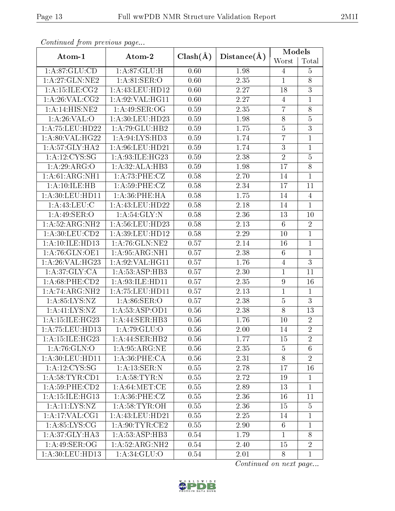| Continual from precious page |                               |              |             | <b>Models</b>   |                  |
|------------------------------|-------------------------------|--------------|-------------|-----------------|------------------|
| Atom-1                       | Atom-2                        | $Clash(\AA)$ | Distance(A) | Worst           | Total            |
| 1: A:87: GLU:CD              | 1: A:87: GLU:H                | 0.60         | 1.98        | 4               | $\overline{5}$   |
| 1: A:27: GLN:NE2             | 1: A:81:SER:O                 | 0.60         | 2.35        | $\mathbf{1}$    | 8                |
| 1: A:15: ILE: CG2            | 1:A:43:LEU:HD12               | 0.60         | 2.27        | 18              | 3                |
| 1: A:26: VAL: CG2            | 1: A:92: VAL: HG11            | 0.60         | 2.27        | $\overline{4}$  | $\mathbf{1}$     |
| 1:A:14:HIS:NE2               | 1:A:49:SER:OG                 | 0.59         | 2.35        | $\overline{7}$  | 8                |
| 1: A:26: VAL:O               | 1:A:30:LEU:HD23               | 0.59         | 1.98        | 8               | $\overline{5}$   |
| 1:A:75:LEU:HD22              | 1:A:79:GLU:HB2                | 0.59         | 1.75        | $\overline{5}$  | $\overline{3}$   |
| 1: A:80: VAL:HG22            | 1:A:94:LYS:HD3                | 0.59         | 1.74        | $\overline{7}$  | $\mathbf{1}$     |
| 1: A:57: GLY: HA2            | 1:A:96:LEU:HD21               | 0.59         | 1.74        | $\overline{3}$  | $\mathbf{1}$     |
| 1:A:12:CYS:SG                | 1: A:93: ILE: HG23            | 0.59         | 2.38        | $\sqrt{2}$      | $\bf 5$          |
| 1:A:29:ARG:O                 | 1:A:32:ALA:HB3                | 0.59         | 1.98        | 17              | $\overline{8}$   |
| 1:A:61:ARG:NH1               | 1: A:73:PHE: CZ               | 0.58         | 2.70        | 14              | $\mathbf{1}$     |
| 1:A:10:ILE:HB                | 1: A:59:PHE: CZ               | 0.58         | 2.34        | 17              | 11               |
| 1: A:30:LEU:HD11             | 1:A:36:PHE:HA                 | 0.58         | 1.75        | 14              | $\overline{4}$   |
| 1: A:43: LEU: C              | 1:A:43:LEU:HD22               | 0.58         | 2.18        | 14              | $\mathbf{1}$     |
| 1: A:49: SER:O               | 1: A:54: GLY:N                | 0.58         | 2.36        | 13              | $10\,$           |
| 1:A:52:ARG:NH2               | 1: A:56:LEU:HD23              | 0.58         | 2.13        | $6\phantom{.}6$ | $\overline{2}$   |
| 1: A:30: LEU:CD2             | 1: A:39: LEU: HD12            | 0.58         | 2.29        | 10              | $\mathbf{1}$     |
| 1:A:10:ILE:HD13              | 1: A:76: GLN:NE2              | 0.57         | 2.14        | 16              | $\mathbf{1}$     |
| 1: A:76: GLN:OE1             | 1: A:95: ARG:NH1              | 0.57         | 2.38        | $6\phantom{.}6$ | $\overline{1}$   |
| 1:A:26:VAL:HG23              | 1: A:92: VAL:HGI1             | 0.57         | 1.76        | $\overline{4}$  | $\overline{3}$   |
| 1: A:37: GLY:CA              | 1:A:53:ASP:HB3                | 0.57         | 2.30        | $\mathbf{1}$    | 11               |
| $1: A:68:$ PHE: $CD2$        | 1:A:93:ILE:HD11               | 0.57         | 2.35        | 9               | 16               |
| 1:A:74:ARG:NH2               | 1: A: 75: LEU: HD11           | 0.57         | 2.13        | $\mathbf{1}$    | $\mathbf{1}$     |
| 1: A.85: LYS: NZ             | 1: A:86: SER:O                | 0.57         | 2.38        | $\bf 5$         | 3                |
| 1: A: 41: LYS: NZ            | 1: A: 53: ASP: OD1            | 0.56         | 2.38        | $\overline{8}$  | 13               |
| 1: A: 15: ILE: HG23          | 1:A:44:SER:HB3                | 0.56         | 1.76        | 10              | $\boldsymbol{2}$ |
| 1: A: 75: LEU: HD13          | 1: A:79: GLU:O                | 0.56         | 2.00        | 14              | $\overline{2}$   |
| $1: A:15: ILE: HG23$         | 1:A:44:SER:HB2                | 0.56         | 1.77        | 15              | $\overline{2}$   |
| 1: A:76: GLN:O               | 1: A:95: ARG: NE              | 0.56         | 2.35        | $\overline{5}$  | 6                |
| 1: A:30: LEU: HD11           | 1: A:36:PHE:CA                | 0.56         | 2.31        | 8               | $\overline{2}$   |
| 1:A:12:CYS:SG                | 1:A:13:SER:N                  | 0.55         | 2.78        | 17              | 16               |
| 1: A:58: TYR:CD1             | 1: A:58:TYR:N                 | 0.55         | 2.72        | 19              | $\mathbf{1}$     |
| 1: A:59:PHE:CD2              | 1: A:64:MET:CE                | 0.55         | 2.89        | 13              | $\mathbf{1}$     |
| 1:A:15:ILE:HG13              | $1: A:36:$ PHE:CZ             | 0.55         | 2.36        | 16              | 11               |
| 1: A: 11: LYS: NZ            | 1: A:58:TYR:OH                | 0.55         | 2.36        | 15              | $\overline{5}$   |
| 1:A:17:VAL:CG1               | 1:A:43:LEU:HD21               | 0.55         | 2.25        | 14              | 1                |
| 1: A:85:LYS:CG               | $1: A:90:TT\overline{YR:CE2}$ | 0.55         | 2.90        | 6               | 1                |
| 1: A:37: GLY:HA3             | 1: A:53: ASP:HB3              | 0.54         | 1.79        | $\mathbf{1}$    | 8                |
| 1:A:49:SER:OG                | 1:A:52:ARG:NH2                | 0.54         | 2.40        | 15              | $\overline{2}$   |
| 1:A:30:LEU:HD13              | 1: A:34: GLU:O                | 0.54         | 2.01        | 8               | $\mathbf{1}$     |

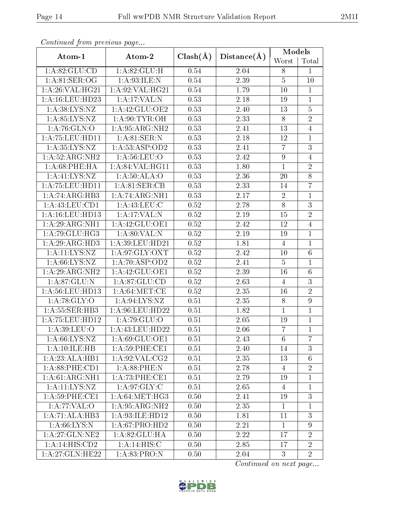| Continuation providuo puga |                                     |              |             | Models           |                  |
|----------------------------|-------------------------------------|--------------|-------------|------------------|------------------|
| Atom-1                     | Atom-2                              | $Clash(\AA)$ | Distance(A) | Worst            | Total            |
| 1: A:82: GLU:CD            | 1: A:82: GLU:H                      | 0.54         | 2.04        | 8                | $\mathbf{1}$     |
| $1:A.81$ :SER:OG           | 1: A:93: ILE:N                      | 0.54         | 2.39        | $\overline{5}$   | 10               |
| 1: A:26: VAL:HG21          | 1:A:92:VAL:HG21                     | 0.54         | 1.79        | 10               | $\mathbf{1}$     |
| 1: A:16:LEU:HD23           | 1:A:17:VAL:N                        | 0.53         | 2.18        | 19               | $\mathbf{1}$     |
| 1: A:38: LYS: NZ           | 1:A:42:GLU:OE2                      | 0.53         | 2.40        | 13               | $\bf 5$          |
| 1: A:85:LYS:NZ             | 1: A:90: TYR:OH                     | 0.53         | 2.33        | $8\,$            | $\overline{2}$   |
| 1:A:76:GLN:O               | 1:A:95:ARG:NH2                      | 0.53         | 2.41        | 13               | $\overline{4}$   |
| 1: A:75:LEU:HD11           | 1: A:81: SER: N                     | 0.53         | 2.18        | 12               | $\mathbf{1}$     |
| 1: A:35:LYS:NZ             | 1:A:53:ASP:OD2                      | 0.53         | 2.41        | $\overline{7}$   | $\overline{3}$   |
| 1:A:52:ARG:NH2             | 1: A:56: LEU:O                      | 0.53         | 2.42        | $\boldsymbol{9}$ | $\overline{4}$   |
| 1: A:68:PHE:HA             | 1: A:84:VAL:HG11                    | 0.53         | 1.80        | $\mathbf{1}$     | $\overline{2}$   |
| 1:A:41:LYS:NZ              | 1:A:50:ALA:O                        | 0.53         | 2.36        | 20               | $8\,$            |
| 1: A:75:LEU:HD11           | 1:A:81:SER:CB                       | 0.53         | 2.33        | 14               | $\overline{7}$   |
| 1:A:74:ARG:HB3             | 1:A:74:ARG:NH1                      | 0.53         | 2.17        | $\sqrt{2}$       | $\mathbf{1}$     |
| 1: A: 43: LEU: CD1         | 1: A: 43: LEU: C                    | 0.52         | 2.78        | 8                | 3                |
| 1: A:16:LEU:HD13           | 1:A:17:VAL:N                        | 0.52         | 2.19        | 15               | $\overline{2}$   |
| 1: A:29: ARG: NH1          | 1:A:42:GLU:OE1                      | 0.52         | 2.42        | 12               | $\overline{4}$   |
| 1:A:79:GLU:HG3             | 1: A:80: VAL: N                     | 0.52         | 2.19        | 19               | $\mathbf{1}$     |
| 1:A:29:ARG:HD3             | $1:\overline{A:39}:\text{LEU:HD21}$ | 0.52         | 1.81        | 4                | $\mathbf{1}$     |
| 1: A:11:LYS:NZ             | 1: A:97: GLY: OXT                   | 0.52         | 2.42        | <b>10</b>        | $6\phantom{.}6$  |
| 1: A:66: LYS:NZ            | 1: A:70: ASP:OD2                    | 0.52         | 2.41        | $\overline{5}$   | $\mathbf{1}$     |
| 1:A:29:ARG:NH2             | 1:A:42:GLU:OE1                      | 0.52         | 2.39        | 16               | $6\,$            |
| 1: A:87:GLU:N              | 1: A:87: GLU:CD                     | 0.52         | 2.63        | $\overline{4}$   | $\overline{3}$   |
| 1:A:56:LEU:HD13            | 1: A:64:MET:CE                      | 0.52         | 2.35        | 16               | $\overline{2}$   |
| 1: A:78: GLY:O             | 1: A:94: LYS: NZ                    | 0.51         | 2.35        | $8\,$            | $\boldsymbol{9}$ |
| 1: A: 55: SER: HB3         | 1: A:96:LEU:HD22                    | 0.51         | 1.82        | $\mathbf{1}$     | $\mathbf{1}$     |
| 1: A:75:LEU:HD12           | 1:A:79:GLU:O                        | 0.51         | 2.05        | 19               | $\mathbf{1}$     |
| 1: A:39: LEU:O             | 1:A:43:LEU:HD22                     | 0.51         | 2.06        | $\overline{7}$   | $\overline{1}$   |
| 1: A:66: LYS: NZ           | 1:A:69:GLU:OE1                      | 0.51         | 2.43        | 6                | $\overline{7}$   |
| 1:A:10:ILE:HB              | 1:A:59:PHE:CE1                      | 0.51         | 2.40        | 14               | 3                |
| 1:A:23:ALA:HB1             | 1: A:92: VAL:CG2                    | 0.51         | 2.35        | 13               | $6\phantom{.}6$  |
| 1: A:88: PHE:CD1           | 1: A:88:PHE:N                       | 0.51         | 2.78        | $\overline{4}$   | $\overline{2}$   |
| 1: A:61: ARG:NH1           | 1: A:73:PHE:CE1                     | 0.51         | 2.79        | 19               | $\mathbf{1}$     |
| 1:A:11:LYS:NZ              | 1: A:97: GLY: C                     | 0.51         | 2.65        | $\overline{4}$   | $\mathbf{1}$     |
| 1: A:59: PHE:CE1           | 1: A:64:MET:HG3                     | 0.50         | 2.41        | 19               | $\overline{3}$   |
| 1: A:77: VAL:O             | 1: A:95: ARG:NH2                    | 0.50         | 2.35        | $\mathbf{1}$     | $\mathbf{1}$     |
| 1:A:71:ALA:HB3             | 1: A:93: ILE: HD12                  | 0.50         | 1.81        | 11               | 3                |
| 1: A:66: LYS:N             | 1:A:67:PRO:HD2                      | 0.50         | 2.21        | $\mathbf{1}$     | 9                |
| 1:A:27:GLN:NE2             | 1:A:82:GLU:HA                       | 0.50         | $2.22\,$    | 17               | $\overline{2}$   |
| 1:A:14:HIS:CD2             | 1:A:14:HIS:C                        | 0.50         | 2.85        | 17               | $\overline{2}$   |
| 1:A:27:GLN:HE22            | 1: A:83: PRO: N                     | 0.50         | 2.04        | 3                | $\overline{2}$   |

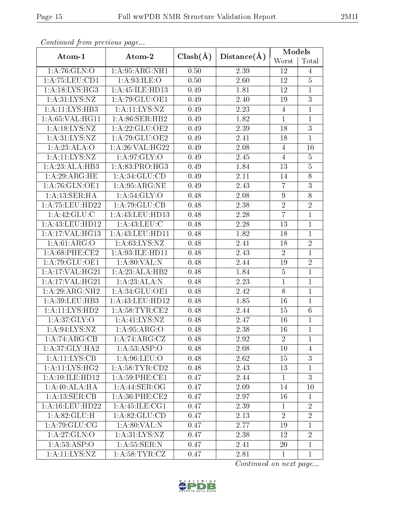| onoonadd from provid do pago |                    |              |                   | Models           |                 |
|------------------------------|--------------------|--------------|-------------------|------------------|-----------------|
| Atom-1                       | Atom-2             | $Clash(\AA)$ | Distance(A)       | Worst            | Total           |
| 1:A:76:GLN:O                 | 1:A:95:ARG:NH1     | 0.50         | 2.39              | 12               | $\overline{4}$  |
| 1:A:75:LEU:CD1               | 1: A:93: ILE: O    | 0.50         | 2.60              | 12               | $\overline{5}$  |
| 1:A:18:LYS:HG3               | 1:A:45:ILE:HD13    | 0.49         | 1.81              | 12               | $\mathbf{1}$    |
| 1: A:31:LYS:NZ               | 1:A:79:GLU:OE1     | 0.49         | 2.40              | 19               | $\overline{3}$  |
| 1:A:11:LYS:HB3               | 1: A: 11: LYS: NZ  | 0.49         | 2.23              | $\overline{4}$   | $\mathbf{1}$    |
| 1:A:65:VAL:HG11              | 1: A:86: SER:HB2   | 0.49         | 1.82              | $\mathbf{1}$     | $\mathbf{1}$    |
| 1: A:18:LYS:NZ               | 1:A:22:GLU:OE2     | 0.49         | 2.39              | 18               | $\overline{3}$  |
| 1: A:31:LYS:NZ               | 1:A:79:GLU:OE2     | 0.49         | 2.41              | 18               | $\mathbf{1}$    |
| 1:A:23:ALA:O                 | 1: A:26: VAL:HG22  | 0.49         | 2.08              | $\overline{4}$   | 10              |
| 1: A: 11: LYS: NZ            | 1: A:97: GLY:O     | 0.49         | 2.45              | $\overline{4}$   | $\overline{5}$  |
| 1:A:23:ALA:HB3               | 1: A:83: PRO:HG3   | 0.49         | 1.84              | 13               | $\overline{5}$  |
| 1: A:29: ARG: HE             | 1: A:34: GLU:CD    | 0.49         | 2.11              | 14               | 8               |
| 1:A:76:GLN:OE1               | 1:A:95:ARG:NE      | 0.49         | 2.43              | $\overline{7}$   | $\overline{3}$  |
| 1:A:13:SER:HA                | 1: A:54: GLY:O     | 0.48         | 2.08              | $\boldsymbol{9}$ | $\overline{8}$  |
| 1: A: 75: LEU: HD22          | 1:A:79:GLU:CB      | 0.48         | 2.38              | $\sqrt{2}$       | $\sqrt{2}$      |
| 1: A:42: GLU: C              | 1:A:43:LEU:HD13    | 0.48         | 2.28              | $\overline{7}$   | $\mathbf{1}$    |
| 1: A: 43: LEU: HD12          | 1: A:43:LEU:C      | 0.48         | 2.28              | 13               | $\mathbf{1}$    |
| 1:A:17:VAL:HG13              | 1:A:43:LEU:HDI1    | 0.48         | $\overline{1.82}$ | 18               | $\overline{1}$  |
| 1: A:61: ARG:O               | 1: A:63: LYS: NZ   | 0.48         | 2.41              | 18               | $\overline{2}$  |
| $1: A:68:$ PHE:CE2           | 1: A:93: ILE: HD11 | 0.48         | 2.43              | $\overline{2}$   | $\mathbf{1}$    |
| 1:A:79:GLU:OE1               | 1: A:80: VAL: N    | 0.48         | 2.44              | 19               | $\overline{2}$  |
| 1:A:17:VAL:HG21              | 1:A:23:ALA:HB2     | 0.48         | 1.84              | $\overline{5}$   | $\mathbf{1}$    |
| 1:A:17:VAL:HG21              | 1:A:23:ALA:N       | 0.48         | 2.23              | $\mathbf{1}$     | $\mathbf{1}$    |
| 1:A:29:ARG:NH2               | 1: A:34: GLU:OE1   | 0.48         | 2.42              | $8\,$            | $\mathbf{1}$    |
| 1: A:39: LEU:HB3             | 1:A:43:LEU:HD12    | 0.48         | 1.85              | 16               | $\mathbf{1}$    |
| 1:A:11:LYS:HD2               | 1: A:58:TYR:CE2    | 0.48         | 2.44              | 15               | $6\phantom{.}6$ |
| 1: A:37: GLY:O               | 1:A:41:LYS:NZ      | 0.48         | 2.47              | 16               | $\mathbf{1}$    |
| 1: A:94:LYS:NZ               | 1: A.95: ARG:O     | 0.48         | 2.38              | 16               | $\overline{1}$  |
| 1:A:74:ARG:CB                | 1:A:74:ARG:CZ      | 0.48         | 2.92              | $\overline{2}$   | 1               |
| 1: A:37: GLY: HA2            | 1: A:53: ASP:O     | 0.48         | 2.08              | 10               | 4               |
| 1: A: 11: LYS: CB            | 1: A:96: LEU:O     | 0.48         | 2.62              | 15               | 3               |
| 1: A: 11: LYS: HG2           | 1: A:58:TYR:CD2    | 0.48         | 2.43              | 13               | $\mathbf{1}$    |
| 1: A:10: ILE: HD12           | $1: A:59:$ PHE:CE1 | 0.47         | 2.44              | $\mathbf{1}$     | 3               |
| 1:A:40:ALA:HA                | 1:A:44:SER:OG      | 0.47         | 2.09              | 14               | 10              |
| 1:A:13:SER:CB                | $1: A:36:$ PHE:CE2 | 0.47         | 2.97              | 16               | 1               |
| 1: A:16:LEU:HD22             | 1: A:45: ILE:CG1   | 0.47         | 2.39              | $\mathbf{1}$     | $\overline{2}$  |
| 1: A:82: GLU: H              | 1: A:82: GLU:CD    | 0.47         | 2.13              | $\overline{2}$   | $\overline{2}$  |
| 1: A:79: GLU:CG              | 1: A:80: VAL: N    | 0.47         | 2.77              | 19               | $\mathbf{1}$    |
| 1:A:27:GLN:O                 | 1: A:31: LYS: NZ   | 0.47         | 2.38              | 12               | $\overline{2}$  |
| 1:A:53:ASP:O                 | 1:A:55:SER:N       | 0.47         | 2.41              | 20               | $\mathbf{1}$    |
| 1:A:11:LYS:NZ                | 1: A:58:TYR:CZ     | 0.47         | 2.81              | $\mathbf{1}$     | $\mathbf{1}$    |

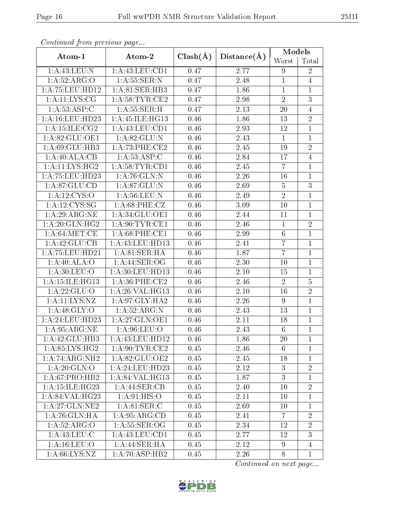| Continuation providuo puga  |                                   |              |             | Models         |                |
|-----------------------------|-----------------------------------|--------------|-------------|----------------|----------------|
| Atom-1                      | Atom-2                            | $Clash(\AA)$ | Distance(A) | Worst          | Total          |
| 1:A:43:LEU:N                | 1:A:43:LEU:CD1                    | 0.47         | 2.77        | 9              | $\overline{2}$ |
| 1:A:52:ARG:O                | 1: A: 55: SER: N                  | 0.47         | 2.48        | $\mathbf{1}$   | $\overline{4}$ |
| 1: A: 75: LEU: HD12         | 1:A:81:SER:HB3                    | 0.47         | 1.86        | $\mathbf{1}$   | $\mathbf{1}$   |
| 1: A: 11: LYS: CG           | 1: A:58:TYR:CE2                   | 0.47         | 2.98        | $\sqrt{2}$     | $\overline{3}$ |
| 1:A:53:ASP:C                | 1: A: 55: SER:H                   | 0.47         | 2.13        | 20             | $\overline{4}$ |
| 1: A:16:LEU:HD23            | 1: A: 45: ILE: HG13               | 0.46         | 1.86        | 13             | $\overline{2}$ |
| 1: A:15: ILE: CG2           | 1:A:43:LEU:CD1                    | 0.46         | 2.93        | 12             | $\mathbf{1}$   |
| 1: A:82: GLU:OE1            | 1:A:82:GLU:N                      | 0.46         | 2.43        | $\mathbf{1}$   | $\mathbf{1}$   |
| 1:A:69:GLU:HB3              | 1: A:73:PHE:CE2                   | 0.46         | 2.45        | 19             | $\overline{2}$ |
| 1:A:40:ALA:CB               | 1: A:53: ASP:C                    | 0.46         | 2.84        | 17             | $\overline{4}$ |
| 1: A:11:LYS:HG2             | 1: A:58:TYR:CD1                   | 0.46         | 2.45        | $\overline{7}$ | $\mathbf{1}$   |
| 1: A:75:LEU:HD23            | 1: A:76: GLN:N                    | 0.46         | 2.26        | 16             | $\mathbf{1}$   |
| 1: A:87: GLU:CD             | 1: A:87: GLU:N                    | 0.46         | 2.69        | $\overline{5}$ | $\overline{3}$ |
| 1: A: 12: CYS: O            | 1: A:56: LEU: N                   | 0.46         | 2.49        | $\overline{2}$ | $\mathbf{1}$   |
| 1:A:12:CYS:SG               | 1: A:68:PHE:CZ                    | 0.46         | 3.09        | 10             | $\mathbf{1}$   |
| 1:A:29:ARG:NE               | 1:A:34:GLU:OE1                    | 0.46         | 2.44        | 11             | $\mathbf{1}$   |
| 1: A:20: GLN: HG2           | 1: A:90: TYR: CE1                 | 0.46         | 2.46        | $\mathbf{1}$   | $\overline{2}$ |
| 1: A:64:MET:CE              | 1: A:68:PHE:CE1                   | 0.46         | 2.99        | $\,6$          | $\mathbf{1}$   |
| 1:A:42:GLU:CB               | 1: A: 43: LEU: HD13               | 0.46         | 2.41        | $\overline{7}$ | $\mathbf{1}$   |
| 1: A: 75: LEU: HD21         | 1:A:81:SER:HA                     | 0.46         | 1.87        | $\overline{7}$ | $\mathbf{1}$   |
| 1:A:40:ALA:O                | 1:A:44:SER:OG                     | 0.46         | 2.30        | 10             | $\mathbf{1}$   |
| 1: A:30: LEU:O              | 1: A:30: LEU: HD13                | 0.46         | 2.10        | 15             | $\mathbf{1}$   |
| 1:A:15:ILE:HG13             | 1:A:36:PHE:CE2                    | 0.46         | 2.46        | $\overline{2}$ | $\overline{5}$ |
| 1:A:22:GLU:O                | 1: A:26: VAL:HG13                 | 0.46         | $2.10\,$    | 16             | $\overline{2}$ |
| 1:A:11:LYS:NZ               | 1: A:97: GLY: HA2                 | 0.46         | 2.26        | 9              | $\mathbf{1}$   |
| 1: A:48: GLY:O              | 1: A:52: ARG:N                    | 0.46         | 2.43        | 13             | $\mathbf{1}$   |
| 1:A:24:LEU:HD23             | 1:A:27:GLN:OE1                    | 0.46         | 2.11        | 18             | $\mathbf{1}$   |
| 1: A:95: ARG: NE            | 1: A:96: LEU:O                    | 0.46         | 2.43        | $\overline{6}$ | $\overline{1}$ |
| 1:A:42:GLU:HB3              | 1:A:43:LEU:HD12                   | 0.46         | 1.86        | 20             | 1              |
| 1: A:85: LYS:HG2            | 1: A:90: TYR: CE2                 | 0.45         | 2.46        | 6              | $\mathbf{1}$   |
| $1:A:74:ARG:\overline{NH2}$ | 1:A:82:GLU:OE2                    | 0.45         | 2.45        | 18             | $\mathbf{1}$   |
| 1:A:20:GLN:O                | 1:A:24:LEU:HD23                   | 0.45         | 2.12        | 3              | $\overline{2}$ |
| 1:A:67:PRO:HB2              | 1: A:84:VAL:HG13                  | 0.45         | 1.87        | $\overline{3}$ | $\mathbf{1}$   |
| 1: A:15: ILE:HG23           | $1:A:44:\overline{\text{SER:CB}}$ | 0.45         | 2.40        | 10             | $\overline{2}$ |
| 1:A:84:VAL:HG23             | 1: A:91: HIS:O                    | 0.45         | 2.11        | 10             | $\mathbf{1}$   |
| 1:A:27:GLN:NE2              | 1: A:81:SER:C                     | 0.45         | 2.69        | 10             | $\mathbf{1}$   |
| 1:A:76:GLN:HA               | 1: A:95: ARG:CD                   | 0.45         | 2.41        | $\overline{7}$ | $\overline{2}$ |
| 1:A:52:ARG:O                | 1: A: 55: SER: OG                 | 0.45         | 2.34        | 12             | $\overline{2}$ |
| 1: A:43:LEU: C              | 1:A:43:LEU:CD1                    | 0.45         | 2.77        | 12             | 3              |
| 1: A: 16: LEU: O            | 1:A:44:SER:HA                     | 0.45         | 2.12        | 9              | 4              |
| 1: A:66: LYS: NZ            | 1: A:70: ASP:HB2                  | 0.45         | 2.26        | 8              | $\mathbf{1}$   |

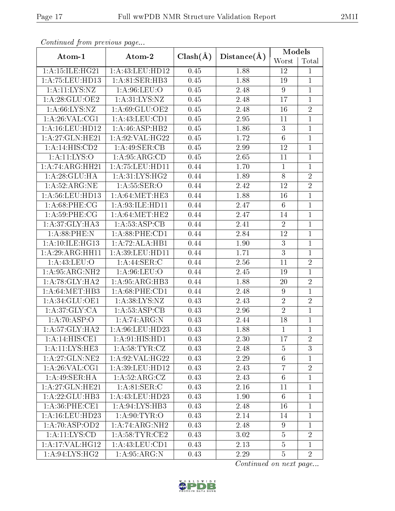| Continued from previous page       |                       |              |             | Models          |                |  |
|------------------------------------|-----------------------|--------------|-------------|-----------------|----------------|--|
| Atom-1                             | Atom-2                | $Clash(\AA)$ | Distance(A) | Worst           | Total          |  |
| 1:A:15:ILE:HG21                    | 1:A:43:LEU:HD12       | 0.45         | 1.88        | 12              | $\mathbf{1}$   |  |
| 1: A: 75: LEU: HD13                | 1:A:81:SER:HB3        | 0.45         | 1.88        | 19              | $\mathbf{1}$   |  |
| 1:A:11:LYS:NZ                      | 1: A:96: LEU:O        | 0.45         | 2.48        | $9\phantom{.}$  | $\mathbf{1}$   |  |
| 1: A:28: GLU:OE2                   | 1: A:31: LYS: NZ      | 0.45         | 2.48        | 17              | $\mathbf{1}$   |  |
| 1: A:66: LYS:NZ                    | 1:A:69:GLU:OE2        | 0.45         | 2.48        | 16              | $\overline{2}$ |  |
| 1: A:26: VAL:CG1                   | 1: A: 43: LEU: CD1    | 0.45         | 2.95        | 11              | $\mathbf{1}$   |  |
| 1: A:16:LEU:HD12                   | 1: A:46: ASP:HB2      | 0.45         | 1.86        | 3               | $\mathbf{1}$   |  |
| 1:A:27:GLN:HE21                    | 1: A:92: VAL: HG22    | 0.45         | 1.72        | $\,6$           | $\mathbf{1}$   |  |
| 1:A:14:HIS:CD2                     | 1:A:49:SER:CB         | 0.45         | 2.99        | 12              | $\mathbf{1}$   |  |
| 1: A: 11: LYS: O                   | 1: A:95: ARG:CD       | 0.45         | 2.65        | 11              | $\mathbf{1}$   |  |
| 1:A:74:ARG:HH21                    | 1:A:75:LEU:HDI1       | 0.44         | 1.70        | $\mathbf{1}$    | $\mathbf{1}$   |  |
| 1:A:28:GLU:HA                      | 1: A:31: LYS:HG2      | 0.44         | 1.89        | $8\,$           | $\overline{2}$ |  |
| 1: A:52: ARG: NE                   | 1: A: 55: SER: O      | 0.44         | 2.42        | 12              | $\overline{2}$ |  |
| 1: A:56:LEU:HD13                   | 1: A:64:MET:HE3       | 0.44         | 1.88        | 16              | $\mathbf{1}$   |  |
| 1: A:68:PHE:CG                     | 1:A:93:ILE:HD11       | 0.44         | 2.47        | $6\phantom{.}6$ | $\mathbf{1}$   |  |
| 1: A:59:PHE:CG                     | 1: A:64:MET:HE2       | 0.44         | 2.47        | 14              | $\mathbf{1}$   |  |
| 1: A:37: GLY:HA3                   | 1:A:53:ASP:CB         | 0.44         | 2.41        | $\overline{2}$  | $\mathbf{1}$   |  |
| 1: A:88:PHE:N                      | $1: A:88:$ PHE: $CD1$ | 0.44         | 2.84        | 12              | $\mathbf{1}$   |  |
| 1:A:10:ILE:HG13                    | 1:A:72:ALA:HB1        | 0.44         | 1.90        | 3               | $\mathbf{1}$   |  |
| 1:A:29:ARG:HH11                    | 1: A:39: LEU: HD11    | 0.44         | 1.71        | $\mathbf{3}$    | $\mathbf{1}$   |  |
| 1: A:43: LEU:O                     | 1:A:44:SER:C          | 0.44         | 2.56        | 11              | $\overline{2}$ |  |
| 1: A:95: ARG:NH2                   | 1: A:96: LEU:O        | 0.44         | 2.45        | 19              | $\mathbf{1}$   |  |
| 1:A:78:GLY:HA2                     | 1:A:95:ARG:HB3        | 0.44         | 1.88        | 20              | $\overline{2}$ |  |
| 1: A:64: MET:HB3                   | $1: A:68:$ PHE: $CD1$ | 0.44         | 2.48        | 9               | $\mathbf{1}$   |  |
| 1:A:34:GLU:OE1                     | 1:A:38:LYS:NZ         | 0.43         | 2.43        | $\sqrt{2}$      | $\sqrt{2}$     |  |
| 1: A:37: GLY: CA                   | 1:A:53:ASP:CB         | 0.43         | 2.96        | $\overline{2}$  | $\mathbf{1}$   |  |
| 1:A:70:ASP:O                       | 1:A:74:ARG:N          | 0.43         | 2.44        | 18              | $\mathbf{1}$   |  |
| 1: A:57: GLY:HA2                   | 1:A:96:LEU:HD23       | 0.43         | 1.88        | $\overline{1}$  | $\overline{1}$ |  |
| 1:A:14:HIS:CE1                     | 1: A:91: HIS: HD1     | 0.43         | 2.30        | 17              | $\overline{2}$ |  |
| $1:A:11:\overline{\text{LYS:HE3}}$ | 1: A:58:TYR: CZ       | 0.43         | 2.48        | $\overline{5}$  | 3              |  |
| 1:A:27:GLN:NE2                     | 1: A:92: VAL:HG22     | 0.43         | 2.29        | $6\,$           | $\mathbf{1}$   |  |
| 1: A:26: VAL:CG1                   | 1:A:39:LEU:HD12       | 0.43         | 2.43        | $\overline{7}$  | $\overline{2}$ |  |
| 1:A:49:SER:HA                      | 1: A:52: ARG: CZ      | 0.43         | 2.43        | $6\,$           | $\mathbf{1}$   |  |
| 1:A:27:GLN:HE21                    | 1: A:81: SER:C        | 0.43         | 2.16        | 11              | $\mathbf{1}$   |  |
| 1:A:22:GLU:HB3                     | 1:A:43:LEU:HD23       | 0.43         | 1.90        | $6\phantom{.}6$ | $\mathbf{1}$   |  |
| $1: A:36:$ PHE:CE1                 | 1: A:94:LYS:HB3       | 0.43         | 2.48        | 16              | $\mathbf{1}$   |  |
| 1: A:16:LEU:HD23                   | 1: A:90: TYR:O        | 0.43         | 2.14        | 14              | $\mathbf{1}$   |  |
| 1:A:70:ASP:OD2                     | 1:A:74:ARG:NH2        | 0.43         | 2.48        | 9               | 1              |  |
| 1:A:11:LYS:CD                      | 1: A:58:TYR:CE2       | 0.43         | 3.02        | $\overline{5}$  | $\overline{2}$ |  |
| 1:A:17:VAL:HG12                    | 1: A: 43: LEU: CD1    | 0.43         | 2.13        | $\overline{5}$  | $\mathbf{1}$   |  |
| 1: A:94: LYS: HG2                  | 1: A:95: ARG: N       | 0.43         | 2.29        | $\overline{5}$  | $\overline{2}$ |  |

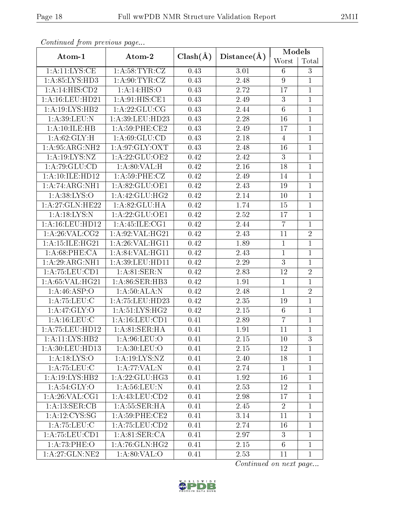| Conventata prome providas pago |                    |              |             | Models           |                |
|--------------------------------|--------------------|--------------|-------------|------------------|----------------|
| Atom-1                         | Atom-2             | $Clash(\AA)$ | Distance(A) | Worst            | Total          |
| 1: A: 11: LYS: CE              | 1: A:58:TYR:CZ     | 0.43         | 3.01        | 6                | $\mathfrak{Z}$ |
| 1:A:85:LYS:HD3                 | 1: A:90: TYR: CZ   | 0.43         | 2.48        | $\boldsymbol{9}$ | $\mathbf{1}$   |
| 1:A:14:HIS:CD2                 | 1: A:14: HIS:O     | 0.43         | 2.72        | 17               | $\mathbf{1}$   |
| 1: A:16:LEU:HD21               | 1: A:91: HIS: CE1  | 0.43         | 2.49        | $\sqrt{3}$       | $\mathbf 1$    |
| 1: A:19: LYS: HB2              | 1:A:22:GLU:CG      | 0.43         | 2.44        | $6\phantom{.}6$  | $\mathbf{1}$   |
| 1: A:39: LEU: N                | 1:A:39:LEU:HD23    | 0.43         | 2.28        | $16\,$           | $\mathbf{1}$   |
| 1:A:10:ILE:HB                  | $1: A:59:$ PHE:CE2 | 0.43         | 2.49        | 17               | $\mathbf{1}$   |
| 1:A:62:GLY:H                   | 1: A:69: GLU:CD    | 0.43         | 2.18        | 4                | $\mathbf{1}$   |
| 1:A:95:ARG:NH2                 | 1: A:97: GLY: OXT  | 0.43         | 2.48        | 16               | $\mathbf{1}$   |
| 1:A:19:LYS:NZ                  | 1:A:22:GLU:OE2     | 0.42         | 2.42        | 3                | $\mathbf{1}$   |
| 1:A:79:GLU:CD                  | 1: A:80: VAL:H     | 0.42         | 2.16        | 18               | $\mathbf{1}$   |
| 1: A: 10: ILE: HD12            | 1: A:59:PHE:CZ     | 0.42         | 2.49        | 14               | $\mathbf{1}$   |
| 1:A:74:ARG:NH1                 | 1:A:82:GLU:OE1     | 0.42         | 2.43        | 19               | $\mathbf{1}$   |
| 1: A:38: LYS:O                 | 1: A:42: GLU: HG2  | 0.42         | 2.14        | 10               | $\mathbf{1}$   |
| 1: A:27: GLN:HE22              | 1:A:82:GLU:HA      | 0.42         | 1.74        | 15               | $\mathbf{1}$   |
| 1: A: 18: LYS: N               | 1:A:22:GLU:OE1     | 0.42         | 2.52        | 17               | $\mathbf{1}$   |
| 1: A:16:LEU:HD12               | 1: A: 45: ILE: CG1 | 0.42         | 2.44        | $\overline{7}$   | $\mathbf{1}$   |
| 1: A:26: VAL: CG2              | 1: A:92: VAL: HG21 | 0.42         | 2.43        | 11               | $\overline{2}$ |
| 1: A:15: ILE:HG21              | 1: A:26: VAL:HGI1  | 0.42         | 1.89        | $\mathbf{1}$     | $\mathbf{1}$   |
| 1: A:68:PHE:CA                 | 1: A:84:VAL:HG11   | 0.42         | 2.43        | $\mathbf{1}$     | $\mathbf{1}$   |
| 1:A:29:ARG:NH1                 | 1: A:39: LEU: HD11 | 0.42         | 2.29        | $\overline{3}$   | $\mathbf{1}$   |
| 1:A:75:LEU:CD1                 | 1: A:81:SER:N      | 0.42         | 2.83        | 12               | $\overline{2}$ |
| 1: A:65: VAL:HG21              | 1:A:86:SER:HB3     | 0.42         | 1.91        | $\mathbf{1}$     | $\mathbf{1}$   |
| 1:A:46:ASP:O                   | 1:A:50:ALA:N       | 0.42         | 2.48        | $\mathbf{1}$     | $\overline{2}$ |
| 1: A:75:LEU:C                  | 1:A:75:LEU:HD23    | 0.42         | 2.35        | 19               | $\mathbf{1}$   |
| 1: A:47: GLY:O                 | 1: A:51: LYS: HG2  | 0.42         | 2.15        | $6\phantom{.}6$  | $\mathbf{1}$   |
| 1: A: 16: LEU: C               | 1: A: 16: LEU: CD1 | 0.41         | 2.89        | $\overline{7}$   | $\mathbf{1}$   |
| 1: A: 75: LEU: HD12            | 1:A:81:SER:HA      | 0.41         | 1.91        | 11               | $\overline{1}$ |
| 1:A:11:LYS:HB2                 | 1: A:96:LEU:O      | 0.41         | 2.15        | 10               | 3              |
| 1: A:30: LEU: HD13             | 1: A:30: LEU:O     | 0.41         | 2.15        | 12               | $\mathbf{1}$   |
| 1: A: 18: LYS: O               | 1: A: 19: LYS: NZ  | 0.41         | 2.40        | 18               | $\mathbf{1}$   |
| 1:A:75:LEU:C                   | 1:A:77:VAL:N       | 0.41         | 2.74        | $\mathbf{1}$     | $\mathbf{1}$   |
| 1:A:19:LYS:HB2                 | 1:A:22:GLU:HG3     | 0.41         | 1.92        | 16               | $\mathbf{1}$   |
| 1: A:54: GLY:O                 | 1: A:56: LEU: N    | 0.41         | 2.53        | 12               | $\mathbf{1}$   |
| 1: A:26: VAL:CG1               | 1:A:43:LEU:CD2     | 0.41         | 2.98        | 17               | $\mathbf{1}$   |
| 1:A:13:SER:CB                  | 1: A: 55: SER: HA  | 0.41         | 2.45        | $\overline{2}$   | $\mathbf{1}$   |
| 1: A: 12: CYS: SG              | $1: A:59:$ PHE:CE2 | 0.41         | 3.14        | 11               | $\mathbf{1}$   |
| 1: A: 75: LEU: C               | 1:A:75:LEU:CD2     | 0.41         | 2.74        | 16               | $\mathbf{1}$   |
| 1: A: 75: LEU: CD1             | 1: A:81: SER:CA    | 0.41         | 2.97        | 3                | $\mathbf{1}$   |
| 1:A:73:PHE:O                   | 1: A:76: GLN: HG2  | 0.41         | 2.15        | $6\phantom{.}6$  | $\mathbf{1}$   |
| 1: A:27: GLN:NE2               | 1: A:80: VAL:O     | 0.41         | 2.53        | 11               | $\mathbf{1}$   |

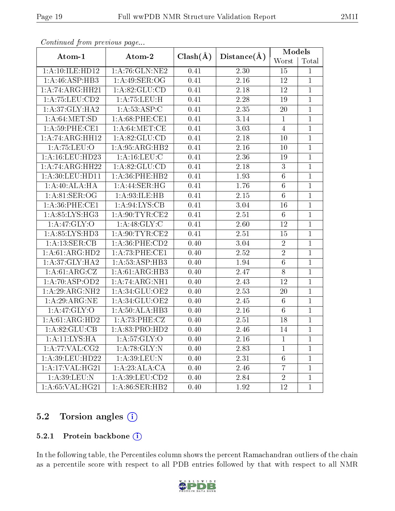| . <i>. .</i>                 | $\cdots$ $\cdots$<br>Atom-2 |              |             | Models           |                |
|------------------------------|-----------------------------|--------------|-------------|------------------|----------------|
| Atom-1                       |                             | $Clash(\AA)$ | Distance(A) | Worst            | Total          |
| 1:A:10:ILE:HD12              | 1: A:76: GLN: NE2           | 0.41         | 2.30        | 15               | $\mathbf{1}$   |
| 1: A:46: ASP:HB3             | 1: A:49: SER:OG             | 0.41         | 2.16        | 12               | $\mathbf{1}$   |
| 1:A:74:ARG:HH21              | 1: A:82: GLU:CD             | 0.41         | 2.18        | 12               | $\mathbf{1}$   |
| 1: A: 75: LEU: CD2           | 1:A:75:LEU:H                | 0.41         | 2.28        | 19               | $\,1$          |
| 1: A:37: GLY: HA2            | 1: A:53: ASP:C              | 0.41         | 2.35        | 20               | $\mathbf{1}$   |
| 1: A:64: MET:SD              | 1: A:68:PHE:CE1             | 0.41         | 3.14        | $\mathbf{1}$     | $\mathbf{1}$   |
| 1: A:59:PHE:CE1              | 1: A:64:MET:CE              | 0.41         | 3.03        | $\overline{4}$   | $\mathbf{1}$   |
| 1:A:74:ARG:HH12              | 1: A:82: GLU:CD             | 0.41         | 2.18        | 10               | $\mathbf 1$    |
| 1: A: 75: LEU: O             | 1: A:95: ARG:HB2            | 0.41         | 2.16        | 10               | $\mathbf{1}$   |
| 1: A:16:LEU:HD23             | 1: A: 16: LEU: C            | 0.41         | 2.36        | 19               | $\mathbf{1}$   |
| 1:A:74:ARG:HH22              | 1: A:82: GLU:CD             | 0.41         | 2.18        | $\boldsymbol{3}$ | $\mathbf{1}$   |
| 1: A:30: LEU: HD11           | 1: A:36: PHE:HB2            | 0.41         | 1.93        | $\,6\,$          | $\mathbf{1}$   |
| 1:A:40:ALA:HA                | 1: A:44: SER:HG             | 0.41         | 1.76        | $6\,$            | $\mathbf 1$    |
| $1: A:81: \overline{SER:OG}$ | 1: A:93: ILE: HB            | 0.41         | 2.15        | $6\,$            | $\mathbf{1}$   |
| 1: A:36: PHE:CE1             | 1: A:94: LYS: CB            | 0.41         | 3.04        | 16               | $\mathbf{1}$   |
| 1: A:85:LYS:HG3              | 1: A:90:TYR:CE2             | 0.41         | 2.51        | $6\phantom{.}$   | $\overline{1}$ |
| 1: A:47: GLY:O               | 1: A:48: GLY: C             | 0.41         | 2.60        | 12               | $\mathbf 1$    |
| 1: A:85:LYS:HD3              | 1: A:90:TYR:CE2             | 0.41         | 2.51        | 15               | $\mathbf{1}$   |
| 1:A:13:SER:CB                | 1:A:36:PHE:CD2              | 0.40         | 3.04        | $\overline{2}$   | $\mathbf{1}$   |
| 1: A:61: ARG:HD2             | 1:A:73:PHE:CE1              | 0.40         | 2.52        | $\overline{2}$   | $\mathbf{1}$   |
| 1: A:37: GLY:HA2             | 1:A:53:ASP:HB3              | 0.40         | 1.94        | $6\,$            | $\mathbf{1}$   |
| 1:A:61:ARG:CZ                | 1: A:61: ARG:HB3            | 0.40         | 2.47        | $8\,$            | $\mathbf{1}$   |
| 1:A:70:ASP:OD2               | 1:A:74:ARG:NH1              | 0.40         | 2.43        | 12               | $\mathbf{1}$   |
| 1:A:29:ARG:NH2               | 1:A:34:GLU:OE2              | 0.40         | 2.53        | 20               | $\mathbf{1}$   |
| 1:A:29:ARG:NE                | 1: A:34: GLU:OE2            | 0.40         | 2.45        | $6\,$            | $\mathbf{1}$   |
| 1: A:47: GLY:O               | 1: A:50: ALA:HB3            | 0.40         | 2.16        | $6\phantom{.}6$  | $\mathbf{1}$   |
| $1:A:61:A\overline{RG:HD2}$  | 1:A:73:PHE:CZ               | 0.40         | 2.51        | 18               | $\mathbf{1}$   |
| 1:A:82:GLU:CB                | 1: A:83: PRO:HD2            | 0.40         | 2.46        | 14               | $\mathbf{1}$   |
| 1: A: 11: LYS: HA            | $1: A:57: GLY:O$            | 0.40         | 2.16        | $\mathbf{1}$     | $\mathbf{1}$   |
| 1:A:77:VAL:CG2               | 1:A:78:GLY:N                | 0.40         | 2.83        | $\mathbf{1}$     | 1              |
| 1:A:39:LEU:HD22              | 1: A:39: LEU: N             | 0.40         | 2.31        | $6\phantom{.}6$  | $\mathbf{1}$   |
| 1:A:17:VAL:HG21              | 1:A:23:ALA:CA               | 0.40         | 2.46        | 7                | $\mathbf 1$    |
| 1:A:39:LEU:N                 | 1:A:39:LEU:CD2              | 0.40         | 2.84        | $\overline{2}$   | $\mathbf{1}$   |
| 1:A:65:VAL:HG21              | 1:A:86:SER:HB2              | 0.40         | 1.92        | 12               | $\,1$          |

# 5.2 Torsion angles (i)

#### 5.2.1 Protein backbone (i)

In the following table, the Percentiles column shows the percent Ramachandran outliers of the chain as a percentile score with respect to all PDB entries followed by that with respect to all NMR

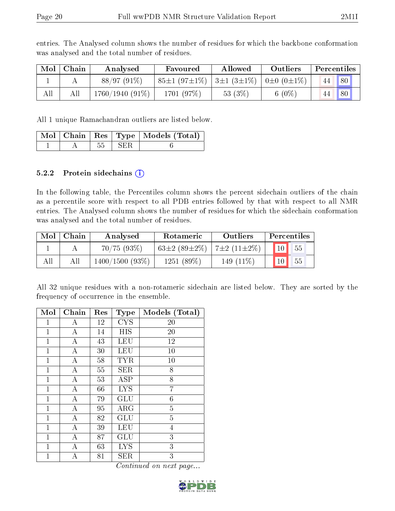| Mol | Chain | Analysed          | Favoured           | Allowed          | Outliers                | Percentiles |    |  |
|-----|-------|-------------------|--------------------|------------------|-------------------------|-------------|----|--|
|     |       | 88/97 (91%)       | $85\pm1(97\pm1\%)$ | $3\pm1(3\pm1\%)$ | $0 \pm 0$ $(0 \pm 1\%)$ |             | 80 |  |
| All | All   | $1760/1940(91\%)$ | 1701 (97%)         | 53 $(3%)$        | $6(0\%)$                |             | 80 |  |

entries. The Analysed column shows the number of residues for which the backbone conformation was analysed and the total number of residues.

All 1 unique Ramachandran outliers are listed below.

|  |       | Mol   Chain   Res   Type   Models (Total) |
|--|-------|-------------------------------------------|
|  | L SER |                                           |

#### 5.2.2 Protein sidechains (i)

In the following table, the Percentiles column shows the percent sidechain outliers of the chain as a percentile score with respect to all PDB entries followed by that with respect to all NMR entries. The Analysed column shows the number of residues for which the sidechain conformation was analysed and the total number of residues.

| Mol | Chain | Analysed          | <b>Rotameric</b>   | <b>Outliers</b>             |                 | <b>Percentiles</b> |
|-----|-------|-------------------|--------------------|-----------------------------|-----------------|--------------------|
|     |       | 70/75(93%)        | $63\pm2(89\pm2\%)$ | $\frac{1}{2}$ (11 $\pm$ 2%) | 10              | 55                 |
| All | All   | $1400/1500(93\%)$ | 1251(89%)          | 149 $(11\%)$                | 10 <sup>1</sup> | 55                 |

All 32 unique residues with a non-rotameric sidechain are listed below. They are sorted by the frequency of occurrence in the ensemble.

| Mol          | Chain            | Res | <b>Type</b> | Models (Total) |
|--------------|------------------|-----|-------------|----------------|
| 1            | А                | 12  | <b>CYS</b>  | 20             |
| 1            | A                | 14  | HIS         | 20             |
| $\mathbf{1}$ | $\boldsymbol{A}$ | 43  | LEU         | 12             |
| 1            | Α                | 30  | LEU         | 10             |
| $\mathbf{1}$ | $\boldsymbol{A}$ | 58  | <b>TYR</b>  | 10             |
| $\mathbf{1}$ | $\boldsymbol{A}$ | 55  | <b>SER</b>  | 8              |
| 1            | Α                | 53  | ASP         | 8              |
| 1            | А                | 66  | <b>LYS</b>  | 7              |
| $\mathbf{1}$ | $\boldsymbol{A}$ | 79  | GLU         | $\overline{6}$ |
| $\mathbf 1$  | $\overline{A}$   | 95  | $\rm{ARG}$  | $\overline{5}$ |
| $\mathbf 1$  | $\boldsymbol{A}$ | 82  | GLU         | $\overline{5}$ |
| $\mathbf{1}$ | $\boldsymbol{A}$ | 39  | <b>LEU</b>  | $\overline{4}$ |
| 1            | А                | 87  | GLU         | 3              |
| $\mathbf{1}$ | А                | 63  | <b>LYS</b>  | 3              |
| 1            | Α                | 81  | <b>SER</b>  | 3              |

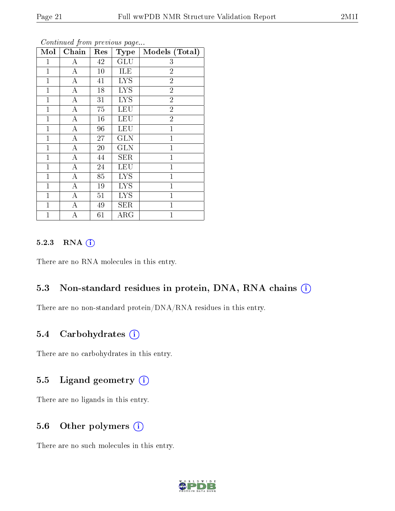| Mol          | Chain              | Res | <b>Type</b> | Models (Total) |
|--------------|--------------------|-----|-------------|----------------|
| 1            | $\boldsymbol{A}$   | 42  | <b>GLU</b>  | 3              |
| $\mathbf{1}$ | $\boldsymbol{A}$   | 10  | ILE         | $\overline{2}$ |
| $\mathbf{1}$ | $\overline{\rm A}$ | 41  | <b>LYS</b>  | $\overline{2}$ |
| $\mathbf{1}$ | $\boldsymbol{A}$   | 18  | <b>LYS</b>  | $\overline{2}$ |
| $\mathbf{1}$ | $\overline{\rm A}$ | 31  | <b>LYS</b>  | $\overline{2}$ |
| 1            | $\boldsymbol{A}$   | 75  | <b>LEU</b>  | $\overline{2}$ |
| $\mathbf{1}$ | $\bf{A}$           | 16  | LEU         | $\overline{2}$ |
| $\mathbf{1}$ | $\boldsymbol{A}$   | 96  | LEU         | $\mathbf{1}$   |
| $\mathbf{1}$ | $\bf{A}$           | 27  | <b>GLN</b>  | $\mathbf{1}$   |
| $\mathbf{1}$ | $\overline{\rm A}$ | 20  | <b>GLN</b>  | $\mathbf{1}$   |
| $\mathbf{1}$ | $\overline{A}$     | 44  | SER         | $\mathbf{1}$   |
| $\mathbf{1}$ | $\overline{A}$     | 24  | LEU         | $\mathbf{1}$   |
| $\mathbf{1}$ | $\overline{A}$     | 85  | <b>LYS</b>  | $\mathbf{1}$   |
| $\mathbf{1}$ | $\boldsymbol{A}$   | 19  | <b>LYS</b>  | $\mathbf{1}$   |
| 1            | А                  | 51  | <b>LYS</b>  | $\mathbf{1}$   |
| 1            | А                  | 49  | <b>SER</b>  | $\mathbf{1}$   |
| $\mathbf{1}$ | А                  | 61  | ${\rm ARG}$ | $\mathbf{1}$   |

#### 5.2.3 RNA (1)

There are no RNA molecules in this entry.

# 5.3 Non-standard residues in protein, DNA, RNA chains (i)

There are no non-standard protein/DNA/RNA residues in this entry.

# 5.4 Carbohydrates (i)

There are no carbohydrates in this entry.

# 5.5 Ligand geometry  $(i)$

There are no ligands in this entry.

# 5.6 [O](https://www.wwpdb.org/validation/2017/NMRValidationReportHelp#nonstandard_residues_and_ligands)ther polymers (i)

There are no such molecules in this entry.

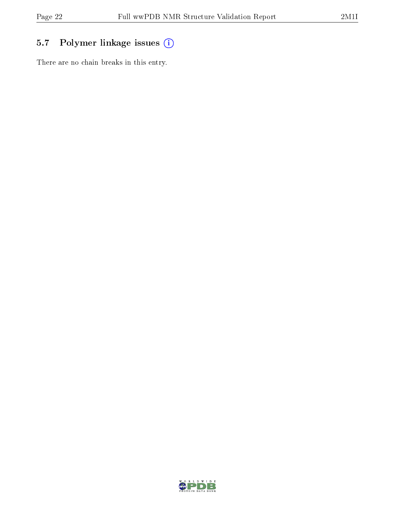# 5.7 Polymer linkage issues (i)

There are no chain breaks in this entry.

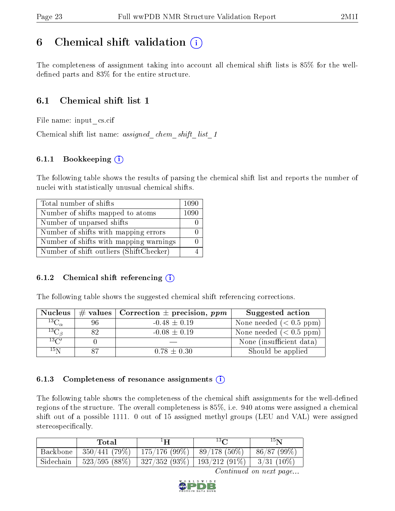# <span id="page-22-0"></span>6 Chemical shift validation  $\left( \begin{array}{c} \overline{1} \end{array} \right)$

The completeness of assignment taking into account all chemical shift lists is 85% for the welldefined parts and  $83\%$  for the entire structure.

# 6.1 Chemical shift list 1

File name: input\_cs.cif

Chemical shift list name: *assigned\_chem\_shift\_list\_1* 

# 6.1.1 Bookkeeping (i)

The following table shows the results of parsing the chemical shift list and reports the number of nuclei with statistically unusual chemical shifts.

| Total number of shifts                  | 1090 |
|-----------------------------------------|------|
| Number of shifts mapped to atoms        | 1090 |
| Number of unparsed shifts               |      |
| Number of shifts with mapping errors    |      |
| Number of shifts with mapping warnings  |      |
| Number of shift outliers (ShiftChecker) |      |

# 6.1.2 Chemical shift referencing  $(i)$

The following table shows the suggested chemical shift referencing corrections.

| <b>Nucleus</b>      |    | # values   Correction $\pm$ precision, ppm | Suggested action         |
|---------------------|----|--------------------------------------------|--------------------------|
| ${}^{13}C_{\alpha}$ | 96 | $-0.48 \pm 0.19$                           | None needed $(0.5 ppm)$  |
| ${}^{13}C_{\beta}$  | 82 | $-0.08 \pm 0.19$                           | None needed $(0.5 ppm)$  |
| $13\text{C}$        |    |                                            | None (insufficient data) |
| $15\,\mathrm{N}$    |    | $0.78 \pm 0.30$                            | Should be applied        |

#### 6.1.3 Completeness of resonance assignments  $(i)$

The following table shows the completeness of the chemical shift assignments for the well-defined regions of the structure. The overall completeness is 85%, i.e. 940 atoms were assigned a chemical shift out of a possible 1111. 0 out of 15 assigned methyl groups (LEU and VAL) were assigned stereospecifically.

|           | Total           | ٠H                                               | $13\Omega$     | 15 N                                                |
|-----------|-----------------|--------------------------------------------------|----------------|-----------------------------------------------------|
| Backbone  | 350/441(79%)    | 175/176(99%)                                     | $89/178(50\%)$ | 86/87(99%)                                          |
| Sidechain | $523/595(88\%)$ | $\mid$ 327/352 (93%) $\mid$ 193/212 (91%) $\mid$ |                | $\begin{array}{c} \mid & 3/31 \;(10\%) \end{array}$ |

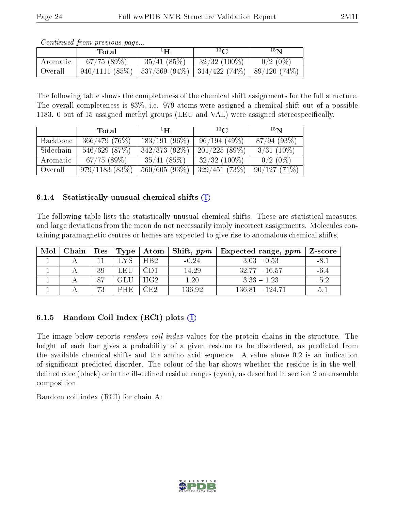| Continued from previous page |  |  |
|------------------------------|--|--|
|                              |  |  |

|          | Total         | $1\mathbf{H}$ | $13\Omega$                                   | $15\,$ N   |
|----------|---------------|---------------|----------------------------------------------|------------|
| Aromatic | 67/75(89%)    | 35/41(85%)    | $32/32$ (100%)                               | $0/2(0\%)$ |
| Overall  | 940/1111(85%) |               | 537/569 (94%)   314/422 (74%)   89/120 (74%) |            |

The following table shows the completeness of the chemical shift assignments for the full structure. The overall completeness is 83%, i.e. 979 atoms were assigned a chemical shift out of a possible 1183. 0 out of 15 assigned methyl groups (LEU and VAL) were assigned stereospecifically.

|           | Total            | $\mathbf{H}^{\perp}$ | $^{13}$ C       | 15 <sub>N</sub> |  |
|-----------|------------------|----------------------|-----------------|-----------------|--|
| Backbone  | 366/479(76%)     | $183/191(96\%)$      | 96/194(49%)     | 87/94(93%)      |  |
| Sidechain | 546/629(87%)     | $342/373(92\%)$      | 201/225(89%)    | $3/31(10\%)$    |  |
| Aromatic  | 67/75(89%)       | 35/41(85%)           | $32/32$ (100\%) | $0/2(0\%)$      |  |
| Overall   | $979/1183(83\%)$ | 560/605(93%)         | 329/451(73%)    | 90/127(71%)     |  |

#### 6.1.4 Statistically unusual chemical shifts  $(i)$

The following table lists the statistically unusual chemical shifts. These are statistical measures, and large deviations from the mean do not necessarily imply incorrect assignments. Molecules containing paramagnetic centres or hemes are expected to give rise to anomalous chemical shifts.

| Mol | Chain |    |      |                 | $\text{Res}$   Type   Atom   Shift, ppm | Expected range, $ppm$ | Z-score |
|-----|-------|----|------|-----------------|-----------------------------------------|-----------------------|---------|
|     |       |    | 'NS. | H <sub>R2</sub> | $-0.24$                                 | $3.03 - 0.53$         | $-8.1$  |
|     |       | 39 | LEU  | CD 1            | 14.29                                   | $-32.77 - 16.57$      | -6.4    |
|     |       | 87 | GLU  | HG2             | 1.20                                    | $3.33 - 1.23$         | -52     |
|     |       | 73 | PHE. | CE2             | 136.92                                  | 136 81 - 124 71       | 5.      |

# 6.1.5 Random Coil Index  $(RCI)$  plots  $(i)$

The image below reports *random coil index* values for the protein chains in the structure. The height of each bar gives a probability of a given residue to be disordered, as predicted from the available chemical shifts and the amino acid sequence. A value above 0.2 is an indication of signicant predicted disorder. The colour of the bar shows whether the residue is in the welldefined core (black) or in the ill-defined residue ranges (cyan), as described in section 2 on ensemble composition.

Random coil index (RCI) for chain A: